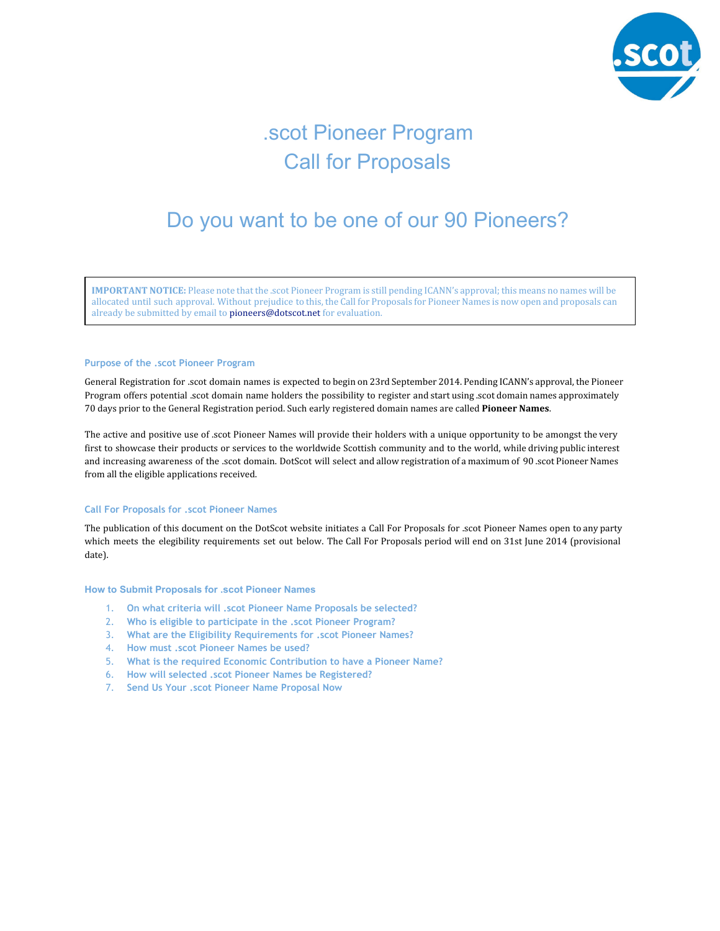

# .scot Pioneer Program Call for Proposals

## Do you want to be one of our 90 Pioneers?

**IMPORTANT NOTICE:** Please note that the .scot Pioneer Program is still pending ICANN's approval; this means no names will be allocated until such approval. Without prejudice to this, the Call for Proposals for Pioneer Names is now open and proposals can already be submitted by email to pioneers@dotscot.net for evaluation.

## **Purpose of the .scot Pioneer Program**

General Registration for .scot domain names is expected to begin on 23rd September 2014. Pending ICANN's approval, the Pioneer Program offers potential .scot domain name holders the possibility to register and start using .scot domain names approximately 70 days prior to the General Registration period. Such early registered domain names are called **Pioneer Names**.

The active and positive use of .scot Pioneer Names will provide their holders with a unique opportunity to be amongst the very first to showcase their products or services to the worldwide Scottish community and to the world, while driving public interest and increasing awareness of the .scot domain. DotScot will select and allow registration of a maximum of 90 .scot Pioneer Names from all the eligible applications received.

## **Call For Proposals for .scot Pioneer Names**

The publication of this document on the DotScot website initiates a Call For Proposals for .scot Pioneer Names open to any party which meets the elegibility requirements set out below. The Call For Proposals period will end on 31st June 2014 (provisional date).

## **How to Submit Proposals for .scot Pioneer Names**

- 1. **On what criteria will .scot Pioneer Name Proposals be selected?**
- 2. **Who is eligible to participate in the .scot Pioneer Program?**
- 3. **What are the Eligibility Requirements for .scot Pioneer Names?**
- 4. **How must .scot Pioneer Names be used?**
- 5. **What is the required Economic Contribution to have a Pioneer Name?**
- 6. **How will selected .scot Pioneer Names be Registered?**
- 7. **Send Us Your .scot Pioneer Name Proposal Now**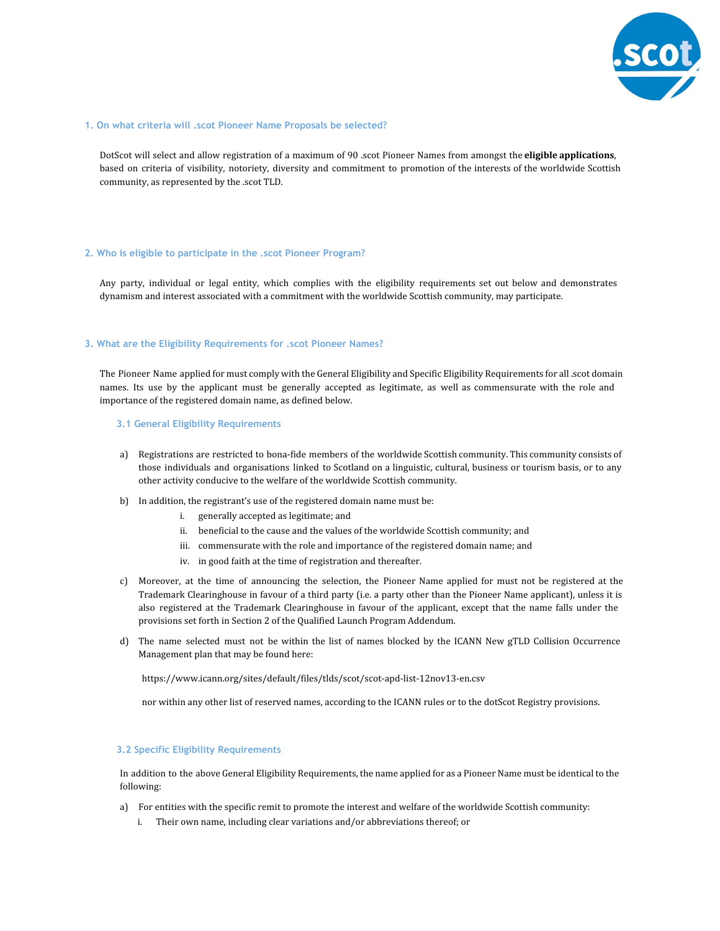

## **1. On what criteria will .scot Pioneer Name Proposals be selected?**

DotScot will select and allow registration of a maximum of 90 .scot Pioneer Names from amongst the **eligible applications**, based on criteria of visibility, notoriety, diversity and commitment to promotion of the interests of the worldwide Scottish community, as represented by the .scot TLD.

## **2. Who is eligible to participate in the .scot Pioneer Program?**

Any party, individual or legal entity, which complies with the eligibility requirements set out below and demonstrates dynamism and interest associated with a commitment with the worldwide Scottish community, may participate.

## **3. What are the Eligibility Requirements for .scot Pioneer Names?**

The Pioneer Name applied for must comply with the General Eligibility and Specific Eligibility Requirements for all .scot domain names. Its use by the applicant must be generally accepted as legitimate, as well as commensurate with the role and importance of the registered domain name, as defined below.

#### **3.1 General Eligibility Requirements**

- a) Registrations are restricted to bona-fide members of the worldwide Scottish community. This community consists of those individuals and organisations linked to Scotland on a linguistic, cultural, business or tourism basis, or to any other activity conducive to the welfare of the worldwide Scottish community.
- b) In addition, the registrant's use of the registered domain name must be:
	- i. generally accepted as legitimate; and
	- ii. beneficial to the cause and the values of the worldwide Scottish community; and
	- iii. commensurate with the role and importance of the registered domain name; and
	- iv. in good faith at the time of registration and thereafter.
- c) Moreover, at the time of announcing the selection, the Pioneer Name applied for must not be registered at the Trademark Clearinghouse in favour of a third party (i.e. a party other than the Pioneer Name applicant), unless it is also registered at the Trademark Clearinghouse in favour of the applicant, except that the name falls under the provisions set forth in Section 2 of the Qualified Launch Program Addendum.
- d) The name selected must not be within the list of names blocked by the ICANN New gTLD Collision Occurrence Management plan that may be found here:

https://www.icann.org/sites/default/files/tlds/scot/scot-apd-list-12nov13-en.csv

nor within any other list of reserved names, according to the ICANN rules or to the dotScot Registry provisions.

## **3.2 Specific Eligibility Requirements**

In addition to the above General Eligibility Requirements, the name applied for as a Pioneer Name must be identical to the following:

- a) For entities with the specific remit to promote the interest and welfare of the worldwide Scottish community:
	- i. Their own name, including clear variations and/or abbreviations thereof; or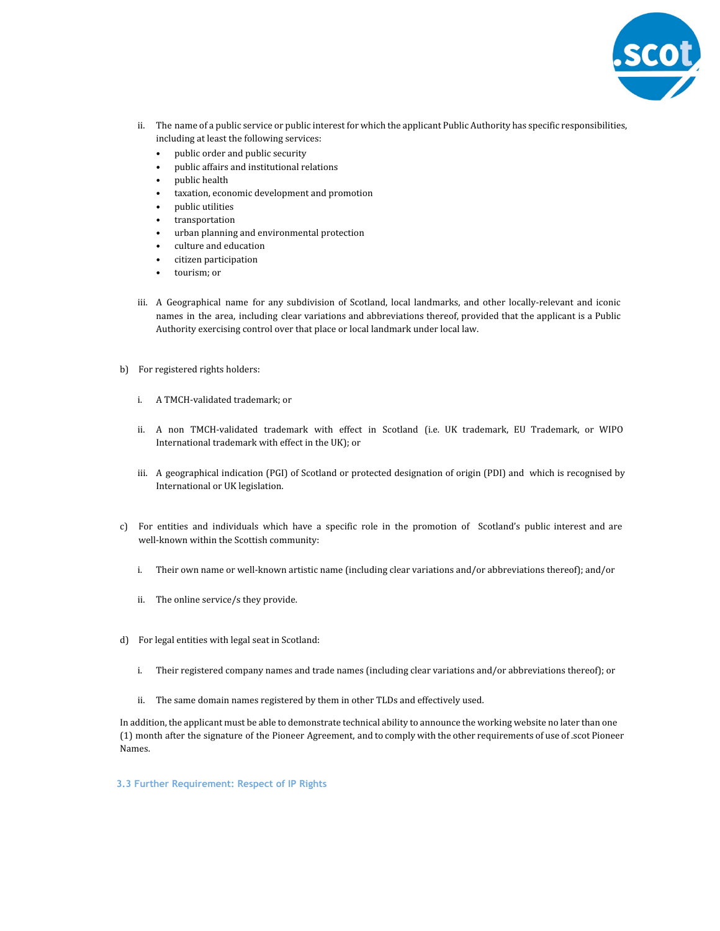

- ii. The name of a public service or public interest for which the applicant Public Authority has specific responsibilities, including at least the following services:
	- public order and public security
	- public affairs and institutional relations
	- public health
	- taxation, economic development and promotion
	- public utilities
	- transportation
	- urban planning and environmental protection
	- culture and education
	- citizen participation
	- tourism; or
- iii. A Geographical name for any subdivision of Scotland, local landmarks, and other locally-relevant and iconic names in the area, including clear variations and abbreviations thereof, provided that the applicant is a Public Authority exercising control over that place or local landmark under local law.
- b) For registered rights holders:
	- i. A TMCH-validated trademark; or
	- ii. A non TMCH-validated trademark with effect in Scotland (i.e. UK trademark, EU Trademark, or WIPO International trademark with effect in the UK); or
	- iii. A geographical indication (PGI) of Scotland or protected designation of origin (PDI) and which is recognised by International or UK legislation.
- c) For entities and individuals which have a specific role in the promotion of Scotland's public interest and are well-known within the Scottish community:
	- i. Their own name or well-known artistic name (including clear variations and/or abbreviations thereof); and/or
	- ii. The online service/s they provide.
- d) For legal entities with legal seat in Scotland:
	- i. Their registered company names and trade names (including clear variations and/or abbreviations thereof); or
	- ii. The same domain names registered by them in other TLDs and effectively used.

In addition, the applicant must be able to demonstrate technical ability to announce the working website no later than one (1) month after the signature of the Pioneer Agreement, and to comply with the other requirements of use of .scot Pioneer Names.

**3.3 Further Requirement: Respect of IP Rights**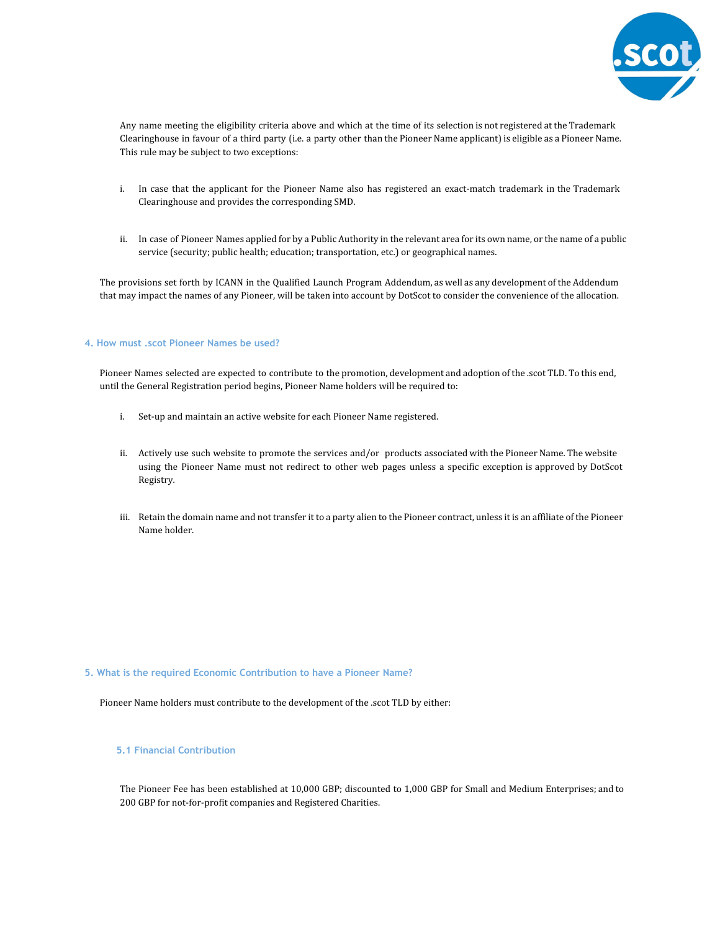

Any name meeting the eligibility criteria above and which at the time of its selection is not registered at the Trademark Clearinghouse in favour of a third party (i.e. a party other than the Pioneer Name applicant) is eligible as a Pioneer Name. This rule may be subject to two exceptions:

- i. In case that the applicant for the Pioneer Name also has registered an exact-match trademark in the Trademark Clearinghouse and provides the corresponding SMD.
- ii. In case of Pioneer Names applied for by a Public Authority in the relevant area for its own name, or the name of a public service (security; public health; education; transportation, etc.) or geographical names.

The provisions set forth by ICANN in the Qualified Launch Program Addendum, as well as any development of the Addendum that may impact the names of any Pioneer, will be taken into account by DotScot to consider the convenience of the allocation.

## **4. How must .scot Pioneer Names be used?**

Pioneer Names selected are expected to contribute to the promotion, development and adoption of the .scot TLD. To this end, until the General Registration period begins, Pioneer Name holders will be required to:

- i. Set-up and maintain an active website for each Pioneer Name registered.
- ii. Actively use such website to promote the services and/or products associated with the Pioneer Name. The website using the Pioneer Name must not redirect to other web pages unless a specific exception is approved by DotScot Registry.
- iii. Retain the domain name and not transfer it to a party alien to the Pioneer contract, unless it is an affiliate of the Pioneer Name holder.

## **5. What is the required Economic Contribution to have a Pioneer Name?**

Pioneer Name holders must contribute to the development of the .scot TLD by either:

## **5.1 Financial Contribution**

The Pioneer Fee has been established at 10,000 GBP; discounted to 1,000 GBP for Small and Medium Enterprises; and to 200 GBP for not-for-profit companies and Registered Charities.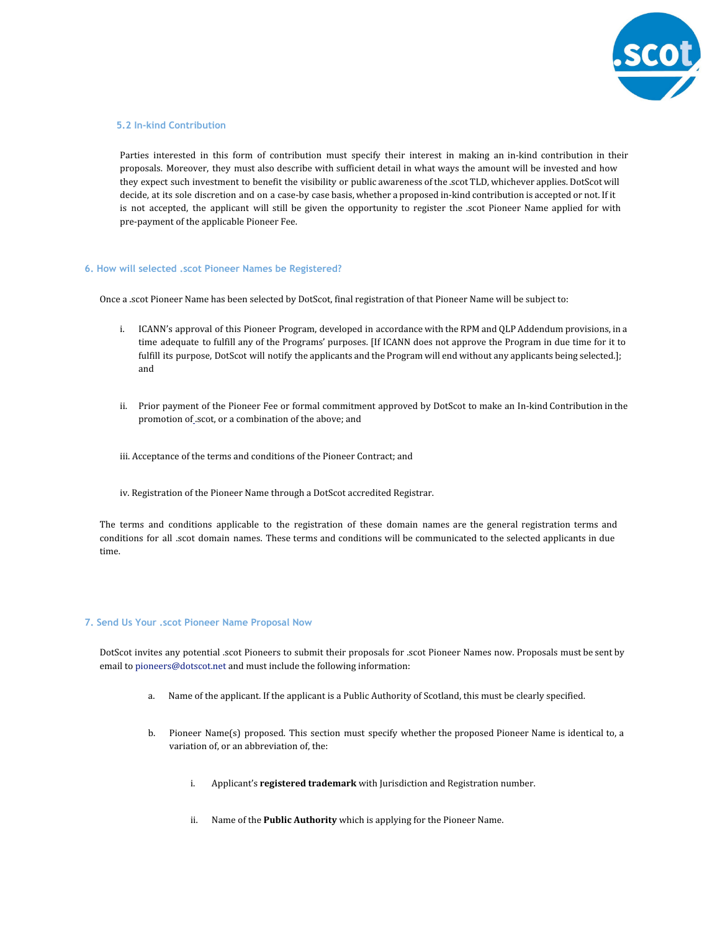

## **5.2 In-kind Contribution**

Parties interested in this form of contribution must specify their interest in making an in-kind contribution in their proposals. Moreover, they must also describe with sufficient detail in what ways the amount will be invested and how they expect such investment to benefit the visibility or public awareness of the .scot TLD, whichever applies. DotScot will decide, at its sole discretion and on a case-by case basis, whether a proposed in-kind contribution is accepted or not. If it is not accepted, the applicant will still be given the opportunity to register the .scot Pioneer Name applied for with pre-payment of the applicable Pioneer Fee.

## **6. How will selected .scot Pioneer Names be Registered?**

Once a .scot Pioneer Name has been selected by DotScot, final registration of that Pioneer Name will be subject to:

- i. ICANN's approval of this Pioneer Program, developed in accordance with the RPM and QLP Addendum provisions, in a time adequate to fulfill any of the Programs' purposes. [If ICANN does not approve the Program in due time for it to fulfill its purpose, DotScot will notify the applicants and the Program will end without any applicants being selected.]; and
- ii. Prior payment of the Pioneer Fee or formal commitment approved by DotScot to make an In-kind Contribution in the promotion of .scot, or a combination of the above; and
- iii. Acceptance of the terms and conditions of the Pioneer Contract; and
- iv. Registration of the Pioneer Name through a DotScot accredited Registrar.

The terms and conditions applicable to the registration of these domain names are the general registration terms and conditions for all .scot domain names. These terms and conditions will be communicated to the selected applicants in due time.

#### **7. Send Us Your .scot Pioneer Name Proposal Now**

DotScot invites any potential .scot Pioneers to submit their proposals for .scot Pioneer Names now. Proposals must be sent by email to pioneers@dotscot.net and must include the following information:

- a. Name of the applicant. If the applicant is a Public Authority of Scotland, this must be clearly specified.
- b. Pioneer Name(s) proposed. This section must specify whether the proposed Pioneer Name is identical to, a variation of, or an abbreviation of, the:
	- i. Applicant's **registered trademark** with Jurisdiction and Registration number.
	- ii. Name of the **Public Authority** which is applying for the Pioneer Name.